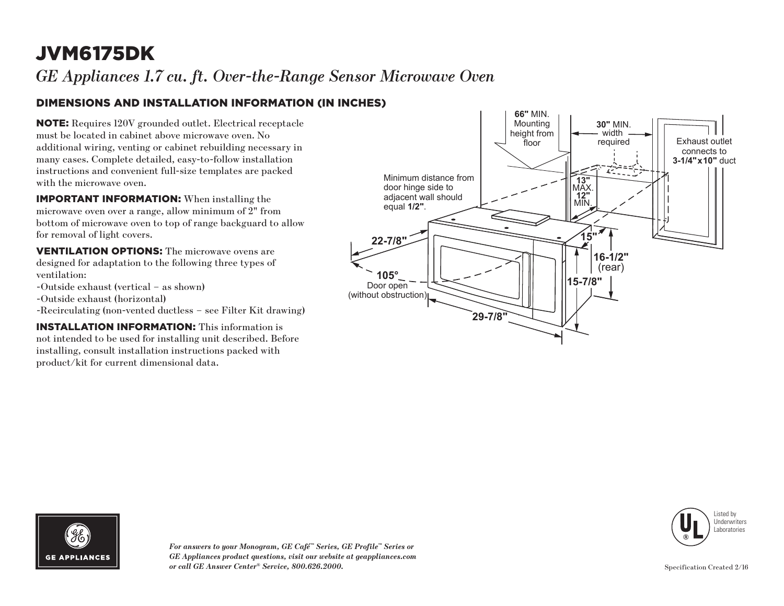# JVM6175DK

*GE Appliances 1.7 cu. ft. Over-the-Range Sensor Microwave Oven*

### DIMENSIONS AND INSTALLATION INFORMATION (IN INCHES)

NOTE: Requires 120V grounded outlet. Electrical receptacle must be located in cabinet above microwave oven. No additional wiring, venting or cabinet rebuilding necessary in many cases. Complete detailed, easy-to-follow installation instructions and convenient full-size templates are packed with the microwave oven.

IMPORTANT INFORMATION: When installing the microwave oven over a range, allow minimum of 2" from bottom of microwave oven to top of range backguard to allow for removal of light covers.

VENTILATION OPTIONS: The microwave ovens are designed for adaptation to the following three types of ventilation:

- -Outside exhaust (vertical as shown)
- -Outside exhaust (horizontal)
- -Recirculating (non-vented ductless see Filter Kit drawing)

INSTALLATION INFORMATION: This information is not intended to be used for installing unit described. Before installing, consult installation instructions packed with product/kit for current dimensional data.







*For answers to your Monogram, GE Café™ Series, GE Profile™ Series or GE Appliances product questions, visit our website at geappliances.com or call GE Answer Center® Service, 800.626.2000.*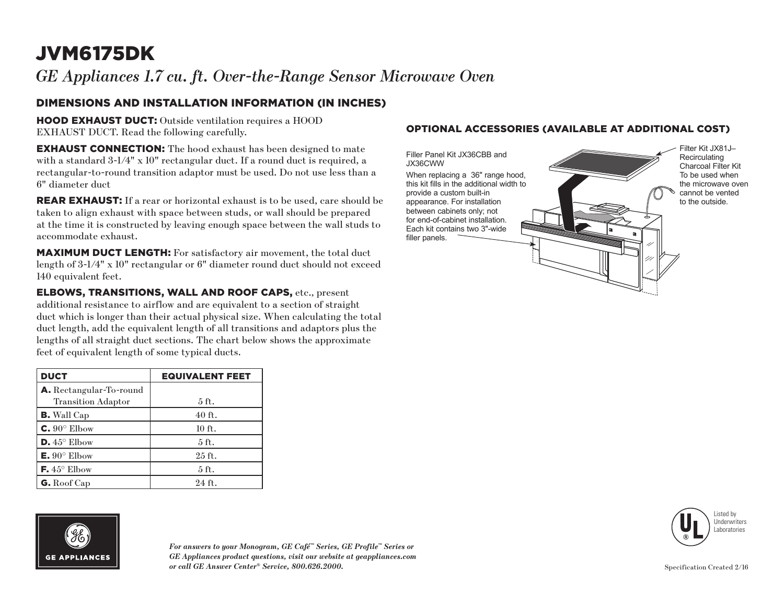# JVM6175DK

*GE Appliances 1.7 cu. ft. Over-the-Range Sensor Microwave Oven*

### DIMENSIONS AND INSTALLATION INFORMATION (IN INCHES)

HOOD EXHAUST DUCT: Outside ventilation requires a HOOD EXHAUST DUCT. Read the following carefully.

**EXHAUST CONNECTION:** The hood exhaust has been designed to mate with a standard 3-1/4" x 10" rectangular duct. If a round duct is required, a rectangular-to-round transition adaptor must be used. Do not use less than a 6" diameter duct

**REAR EXHAUST:** If a rear or horizontal exhaust is to be used, care should be taken to align exhaust with space between studs, or wall should be prepared at the time it is constructed by leaving enough space between the wall studs to accommodate exhaust.

MAXIMUM DUCT LENGTH: For satisfactory air movement, the total duct length of 3-1/4" x 10" rectangular or 6" diameter round duct should not exceed 140 equivalent feet.

ELBOWS, TRANSITIONS, WALL AND ROOF CAPS, etc., present additional resistance to airflow and are equivalent to a section of straight duct which is longer than their actual physical size. When calculating the total duct length, add the equivalent length of all transitions and adaptors plus the lengths of all straight duct sections. The chart below shows the approximate feet of equivalent length of some typical ducts.

| <b>DUCT</b>                    | <b>EQUIVALENT FEET</b> |
|--------------------------------|------------------------|
| <b>A.</b> Rectangular-To-round |                        |
| <b>Transition Adaptor</b>      | 5 ft.                  |
| <b>B.</b> Wall Cap             | $40$ ft.               |
| $C. 90^\circ$ Elbow            | $10$ ft.               |
| $D.45^{\circ}$ Elbow           | 5 <sub>ft</sub>        |
| $E. 90^{\circ}$ Elbow          | $25$ ft.               |
| <b>F.</b> $45^{\circ}$ Elbow   | 5 ft.                  |
| G. Roof Cap                    | 24 ft.                 |

# **GE APPLIANCES**

*For answers to your Monogram, GE Café™ Series, GE Profile™ Series or GE Appliances product questions, visit our website at geappliances.com or call GE Answer Center® Service, 800.626.2000.*

#### OPTIONAL ACCESSORIES (AVAILABLE AT ADDITIONAL COST)